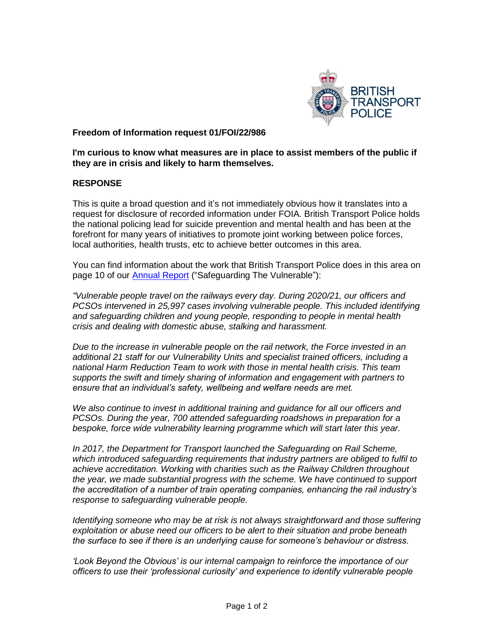

## **Freedom of Information request 01/FOI/22/986**

**I'm curious to know what measures are in place to assist members of the public if they are in crisis and likely to harm themselves.**

## **RESPONSE**

This is quite a broad question and it's not immediately obvious how it translates into a request for disclosure of recorded information under FOIA. British Transport Police holds the national policing lead for suicide prevention and mental health and has been at the forefront for many years of initiatives to promote joint working between police forces, local authorities, health trusts, etc to achieve better outcomes in this area.

You can find information about the work that British Transport Police does in this area on page 10 of our **Annual Report** ("Safeguarding The Vulnerable"):

*"Vulnerable people travel on the railways every day. During 2020/21, our officers and PCSOs intervened in 25,997 cases involving vulnerable people. This included identifying and safeguarding children and young people, responding to people in mental health crisis and dealing with domestic abuse, stalking and harassment.* 

*Due to the increase in vulnerable people on the rail network, the Force invested in an additional 21 staff for our Vulnerability Units and specialist trained officers, including a national Harm Reduction Team to work with those in mental health crisis. This team supports the swift and timely sharing of information and engagement with partners to ensure that an individual's safety, wellbeing and welfare needs are met.* 

*We also continue to invest in additional training and guidance for all our officers and PCSOs. During the year, 700 attended safeguarding roadshows in preparation for a bespoke, force wide vulnerability learning programme which will start later this year.* 

*In 2017, the Department for Transport launched the Safeguarding on Rail Scheme, which introduced safeguarding requirements that industry partners are obliged to fulfil to achieve accreditation. Working with charities such as the Railway Children throughout the year, we made substantial progress with the scheme. We have continued to support the accreditation of a number of train operating companies, enhancing the rail industry's response to safeguarding vulnerable people.* 

*Identifying someone who may be at risk is not always straightforward and those suffering exploitation or abuse need our officers to be alert to their situation and probe beneath the surface to see if there is an underlying cause for someone's behaviour or distress.* 

*'Look Beyond the Obvious' is our internal campaign to reinforce the importance of our officers to use their 'professional curiosity' and experience to identify vulnerable people*